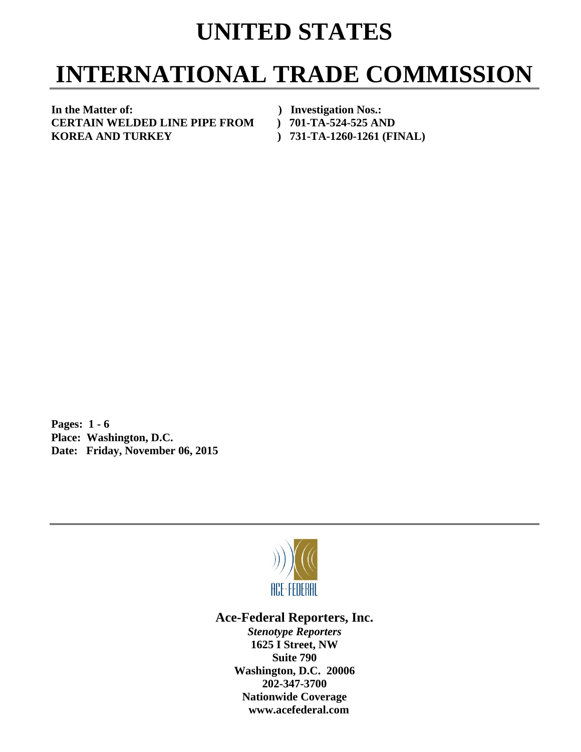## **UNITED STATES**

## **INTERNATIONAL TRADE COMMISSION**

**In the Matter of: ) Investigation Nos.: CERTAIN WELDED LINE PIPE FROM ) 701-TA-524-525 AND KOREA AND TURKEY ) 731-TA-1260-1261 (FINAL)** 

**Pages: 1 - 6 Place: Washington, D.C. Date: Friday, November 06, 2015** 



**Ace-Federal Reporters, Inc.** 

*Stenotype Reporters*  **1625 I Street, NW Suite 790 Washington, D.C. 20006 202-347-3700 Nationwide Coverage www.acefederal.com**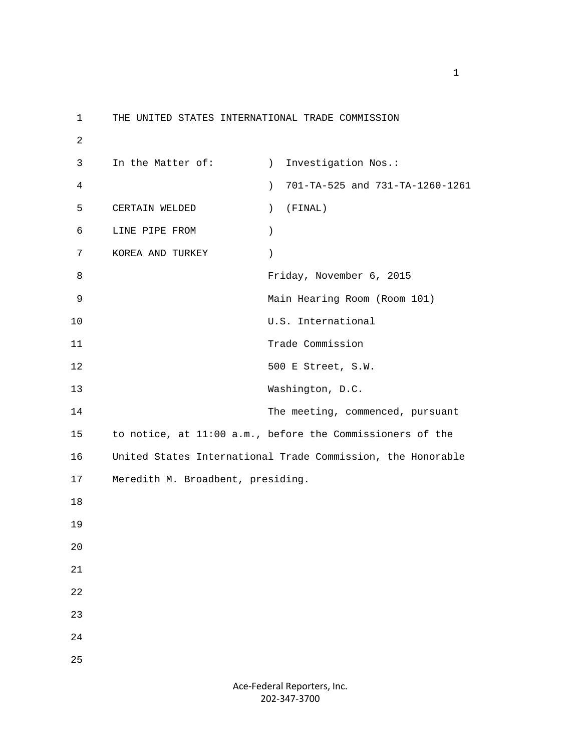1 THE UNITED STATES INTERNATIONAL TRADE COMMISSION 2 3 In the Matter of: (a) Investigation Nos.: 4 ) 701-TA-525 and 731-TA-1260-1261 5 CERTAIN WELDED ) (FINAL) 6 LINE PIPE FROM ) 7 KOREA AND TURKEY ) 8 Friday, November 6, 2015 9 Main Hearing Room (Room 101) 10 U.S. International 11 Trade Commission 12 500 E Street, S.W. 13 Washington, D.C. 14 The meeting, commenced, pursuant 15 to notice, at 11:00 a.m., before the Commissioners of the 16 United States International Trade Commission, the Honorable 17 Meredith M. Broadbent, presiding. 18 19 20 21 22 23 24 25

> Ace‐Federal Reporters, Inc. 202‐347‐3700

 $1$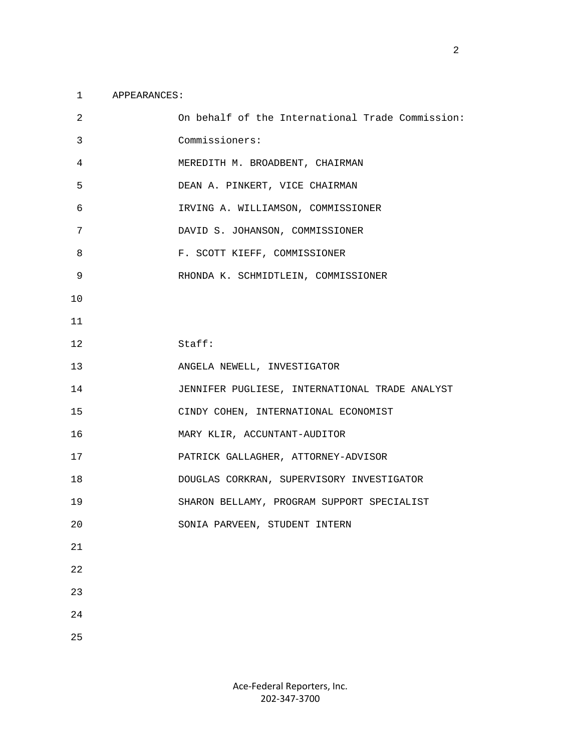## 1 APPEARANCES:

| 2  | On behalf of the International Trade Commission: |
|----|--------------------------------------------------|
| 3  | Commissioners:                                   |
| 4  | MEREDITH M. BROADBENT, CHAIRMAN                  |
| 5  | DEAN A. PINKERT, VICE CHAIRMAN                   |
| 6  | IRVING A. WILLIAMSON, COMMISSIONER               |
| 7  | DAVID S. JOHANSON, COMMISSIONER                  |
| 8  | F. SCOTT KIEFF, COMMISSIONER                     |
| 9  | RHONDA K. SCHMIDTLEIN, COMMISSIONER              |
| 10 |                                                  |
| 11 |                                                  |
| 12 | Staff:                                           |
| 13 | ANGELA NEWELL, INVESTIGATOR                      |
| 14 | JENNIFER PUGLIESE, INTERNATIONAL TRADE ANALYST   |
| 15 | CINDY COHEN, INTERNATIONAL ECONOMIST             |
| 16 | MARY KLIR, ACCUNTANT-AUDITOR                     |
| 17 | PATRICK GALLAGHER, ATTORNEY-ADVISOR              |
| 18 | DOUGLAS CORKRAN, SUPERVISORY INVESTIGATOR        |
| 19 | SHARON BELLAMY, PROGRAM SUPPORT SPECIALIST       |
| 20 | SONIA PARVEEN, STUDENT INTERN                    |
| 21 |                                                  |
| 22 |                                                  |
| 23 |                                                  |
| 24 |                                                  |
| 25 |                                                  |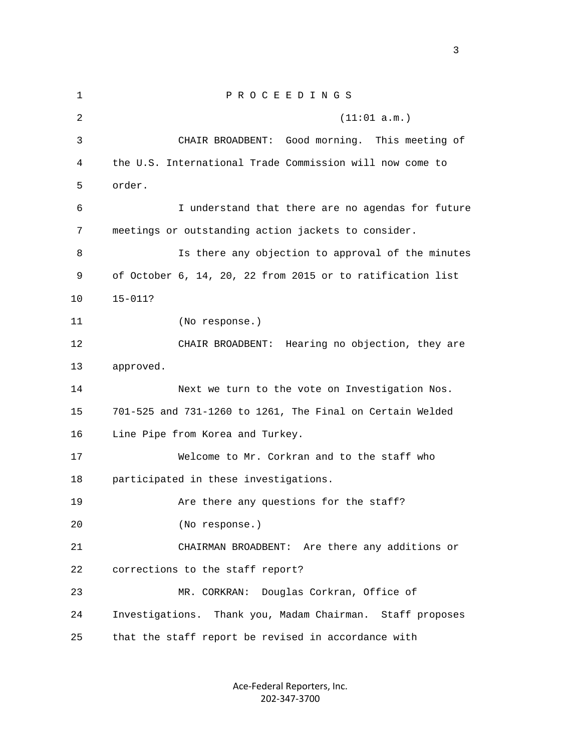1 P R O C E E D I N G S 2 (11:01 a.m.) 3 CHAIR BROADBENT: Good morning. This meeting of 4 the U.S. International Trade Commission will now come to 5 order. 6 I understand that there are no agendas for future 7 meetings or outstanding action jackets to consider. 8 Is there any objection to approval of the minutes 9 of October 6, 14, 20, 22 from 2015 or to ratification list 10 15-011? 11 (No response.) 12 CHAIR BROADBENT: Hearing no objection, they are 13 approved. 14 Next we turn to the vote on Investigation Nos. 15 701-525 and 731-1260 to 1261, The Final on Certain Welded 16 Line Pipe from Korea and Turkey. 17 Welcome to Mr. Corkran and to the staff who 18 participated in these investigations. 19 Are there any questions for the staff? 20 (No response.) 21 CHAIRMAN BROADBENT: Are there any additions or 22 corrections to the staff report? 23 MR. CORKRAN: Douglas Corkran, Office of 24 Investigations. Thank you, Madam Chairman. Staff proposes 25 that the staff report be revised in accordance with

> Ace‐Federal Reporters, Inc. 202‐347‐3700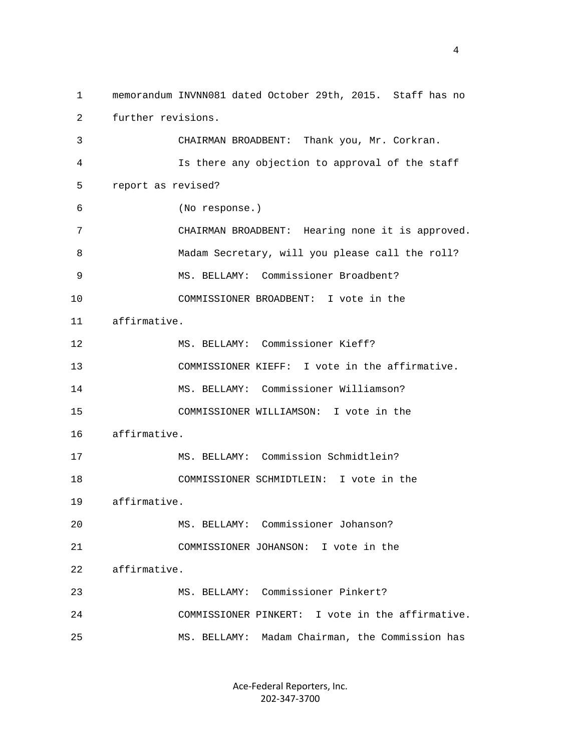1 memorandum INVNN081 dated October 29th, 2015. Staff has no 2 further revisions. 3 CHAIRMAN BROADBENT: Thank you, Mr. Corkran. 4 Is there any objection to approval of the staff 5 report as revised? 6 (No response.) 7 CHAIRMAN BROADBENT: Hearing none it is approved. 8 Madam Secretary, will you please call the roll? 9 MS. BELLAMY: Commissioner Broadbent? 10 COMMISSIONER BROADBENT: I vote in the 11 affirmative. 12 MS. BELLAMY: Commissioner Kieff? 13 COMMISSIONER KIEFF: I vote in the affirmative. 14 MS. BELLAMY: Commissioner Williamson? 15 COMMISSIONER WILLIAMSON: I vote in the 16 affirmative. 17 MS. BELLAMY: Commission Schmidtlein? 18 COMMISSIONER SCHMIDTLEIN: I vote in the 19 affirmative. 20 MS. BELLAMY: Commissioner Johanson? 21 COMMISSIONER JOHANSON: I vote in the 22 affirmative. 23 MS. BELLAMY: Commissioner Pinkert? 24 COMMISSIONER PINKERT: I vote in the affirmative. 25 MS. BELLAMY: Madam Chairman, the Commission has

> Ace‐Federal Reporters, Inc. 202‐347‐3700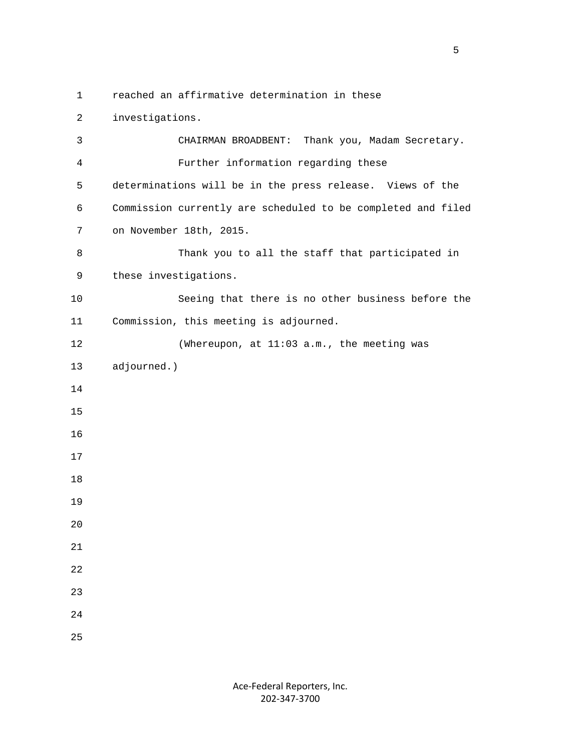1 reached an affirmative determination in these

 2 investigations. 3 CHAIRMAN BROADBENT: Thank you, Madam Secretary. 4 Further information regarding these 5 determinations will be in the press release. Views of the 6 Commission currently are scheduled to be completed and filed 7 on November 18th, 2015. 8 Thank you to all the staff that participated in 9 these investigations. 10 Seeing that there is no other business before the 11 Commission, this meeting is adjourned. 12 (Whereupon, at 11:03 a.m., the meeting was 13 adjourned.) 14 15 16 17 18 19  $2.0$  21 22 23 24 25